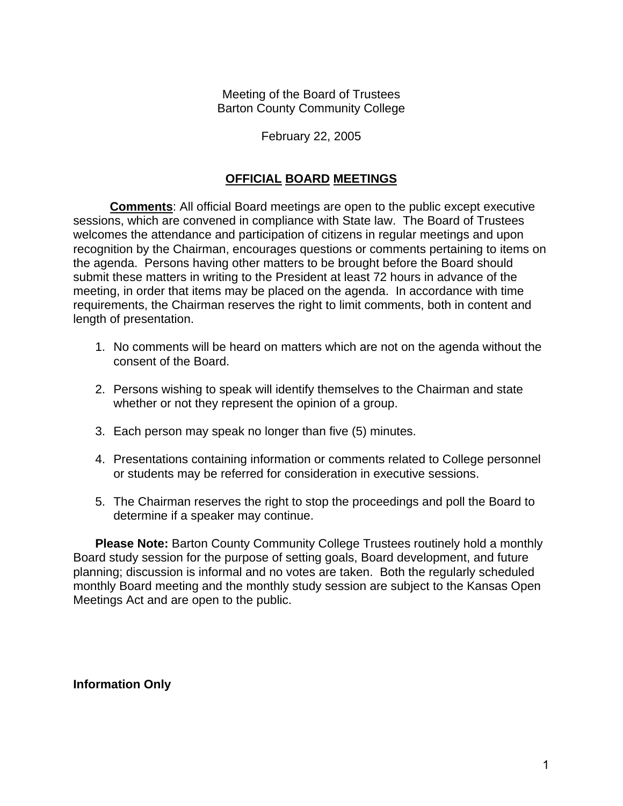Meeting of the Board of Trustees Barton County Community College

#### February 22, 2005

#### **OFFICIAL BOARD MEETINGS**

**Comments**: All official Board meetings are open to the public except executive sessions, which are convened in compliance with State law. The Board of Trustees welcomes the attendance and participation of citizens in regular meetings and upon recognition by the Chairman, encourages questions or comments pertaining to items on the agenda. Persons having other matters to be brought before the Board should submit these matters in writing to the President at least 72 hours in advance of the meeting, in order that items may be placed on the agenda. In accordance with time requirements, the Chairman reserves the right to limit comments, both in content and length of presentation.

- 1. No comments will be heard on matters which are not on the agenda without the consent of the Board.
- 2. Persons wishing to speak will identify themselves to the Chairman and state whether or not they represent the opinion of a group.
- 3. Each person may speak no longer than five (5) minutes.
- 4. Presentations containing information or comments related to College personnel or students may be referred for consideration in executive sessions.
- 5. The Chairman reserves the right to stop the proceedings and poll the Board to determine if a speaker may continue.

**Please Note:** Barton County Community College Trustees routinely hold a monthly Board study session for the purpose of setting goals, Board development, and future planning; discussion is informal and no votes are taken. Both the regularly scheduled monthly Board meeting and the monthly study session are subject to the Kansas Open Meetings Act and are open to the public.

**Information Only**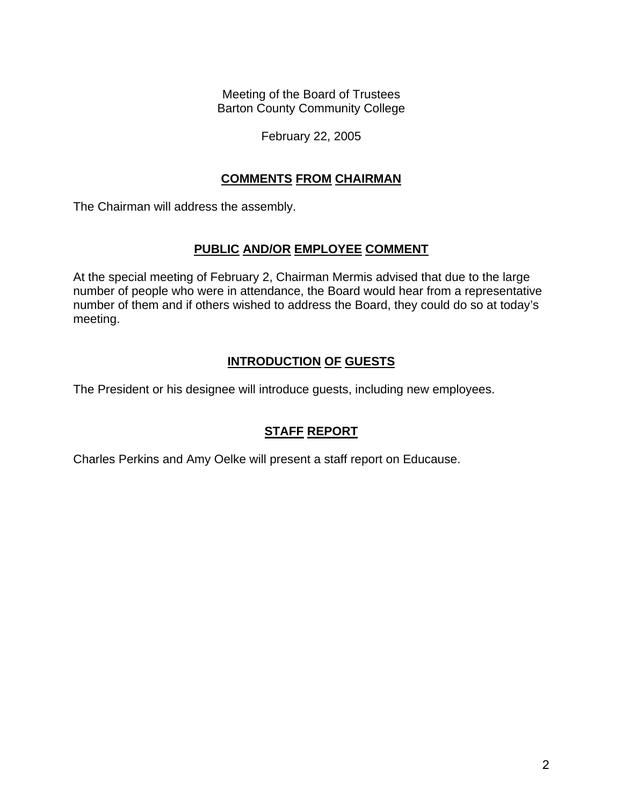Meeting of the Board of Trustees Barton County Community College

#### February 22, 2005

#### **COMMENTS FROM CHAIRMAN**

The Chairman will address the assembly.

## **PUBLIC AND/OR EMPLOYEE COMMENT**

At the special meeting of February 2, Chairman Mermis advised that due to the large number of people who were in attendance, the Board would hear from a representative number of them and if others wished to address the Board, they could do so at today's meeting.

## **INTRODUCTION OF GUESTS**

The President or his designee will introduce guests, including new employees.

# **STAFF REPORT**

Charles Perkins and Amy Oelke will present a staff report on Educause.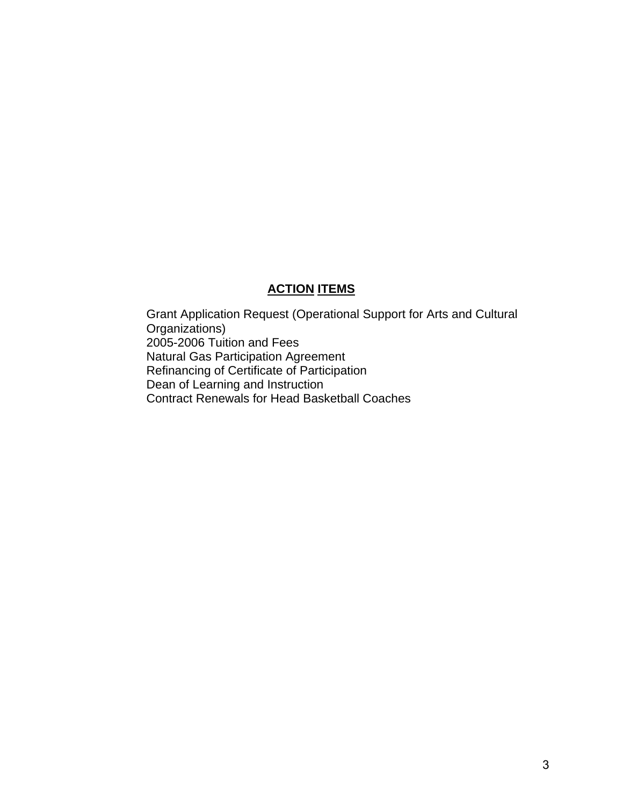## **ACTION ITEMS**

Grant Application Request (Operational Support for Arts and Cultural Organizations) 2005-2006 Tuition and Fees Natural Gas Participation Agreement Refinancing of Certificate of Participation Dean of Learning and Instruction Contract Renewals for Head Basketball Coaches